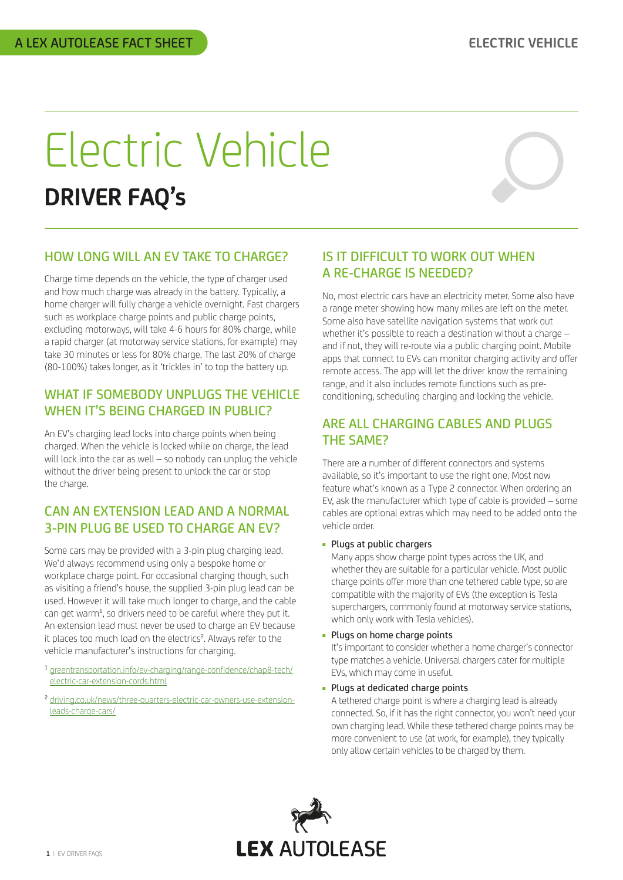# Electric Vehicle **DRIVER FAQ's**



## HOW LONG WILL AN EV TAKE TO CHARGE?

Charge time depends on the vehicle, the type of charger used and how much charge was already in the battery. Typically, a home charger will fully charge a vehicle overnight. Fast chargers such as workplace charge points and public charge points, excluding motorways, will take 4-6 hours for 80% charge, while a rapid charger (at motorway service stations, for example) may take 30 minutes or less for 80% charge. The last 20% of charge (80-100%) takes longer, as it 'trickles in' to top the battery up.

#### WHAT IF SOMEBODY UNPLUGS THE VEHICLE WHEN IT'S BEING CHARGED IN PUBLIC?

An EV's charging lead locks into charge points when being charged. When the vehicle is locked while on charge, the lead will lock into the car as well – so nobody can unplug the vehicle without the driver being present to unlock the car or stop the charge.

## CAN AN EXTENSION LEAD AND A NORMAL 3-PIN PLUG BE USED TO CHARGE AN EV?

Some cars may be provided with a 3-pin plug charging lead. We'd always recommend using only a bespoke home or workplace charge point. For occasional charging though, such as visiting a friend's house, the supplied 3-pin plug lead can be used. However it will take much longer to charge, and the cable can get warm<sup>1</sup>, so drivers need to be careful where they put it. An extension lead must never be used to charge an EV because it places too much load on the electrics<sup>2</sup>. Always refer to the vehicle manufacturer's instructions for charging.

- <sup>1</sup> [greentransportation.info/ev-charging/range-confidence/chap8-tech/](http://greentransportation.info/ev-charging/range-confidence/chap8-tech/electric-car-extension-cords.html) [electric-car-extension-cords.html](http://greentransportation.info/ev-charging/range-confidence/chap8-tech/electric-car-extension-cords.html)
- <sup>2</sup> [driving.co.uk/news/three-quarters-electric-car-owners-use-extension](http://driving.co.uk/news/three-quarters-electric-car-owners-use-extension-leads-charge-cars/)[leads-charge-cars/](http://driving.co.uk/news/three-quarters-electric-car-owners-use-extension-leads-charge-cars/)

# IS IT DIFFICULT TO WORK OUT WHEN A RE-CHARGE IS NEEDED?

No, most electric cars have an electricity meter. Some also have a range meter showing how many miles are left on the meter. Some also have satellite navigation systems that work out whether it's possible to reach a destination without a charge – and if not, they will re-route via a public charging point. Mobile apps that connect to EVs can monitor charging activity and offer remote access. The app will let the driver know the remaining range, and it also includes remote functions such as preconditioning, scheduling charging and locking the vehicle.

## ARE ALL CHARGING CABLES AND PLUGS THE SAME?

There are a number of different connectors and systems available, so it's important to use the right one. Most now feature what's known as a Type 2 connector. When ordering an EV, ask the manufacturer which type of cable is provided – some cables are optional extras which may need to be added onto the vehicle order.

#### ■ Plugs at public chargers

Many apps show charge point types across the UK, and whether they are suitable for a particular vehicle. Most public charge points offer more than one tethered cable type, so are compatible with the majority of EVs (the exception is Tesla superchargers, commonly found at motorway service stations, which only work with Tesla vehicles).

■ Plugs on home charge points

It's important to consider whether a home charger's connector type matches a vehicle. Universal chargers cater for multiple EVs, which may come in useful.

■ Plugs at dedicated charge points

A tethered charge point is where a charging lead is already connected. So, if it has the right connector, you won't need your own charging lead. While these tethered charge points may be more convenient to use (at work, for example), they typically only allow certain vehicles to be charged by them.